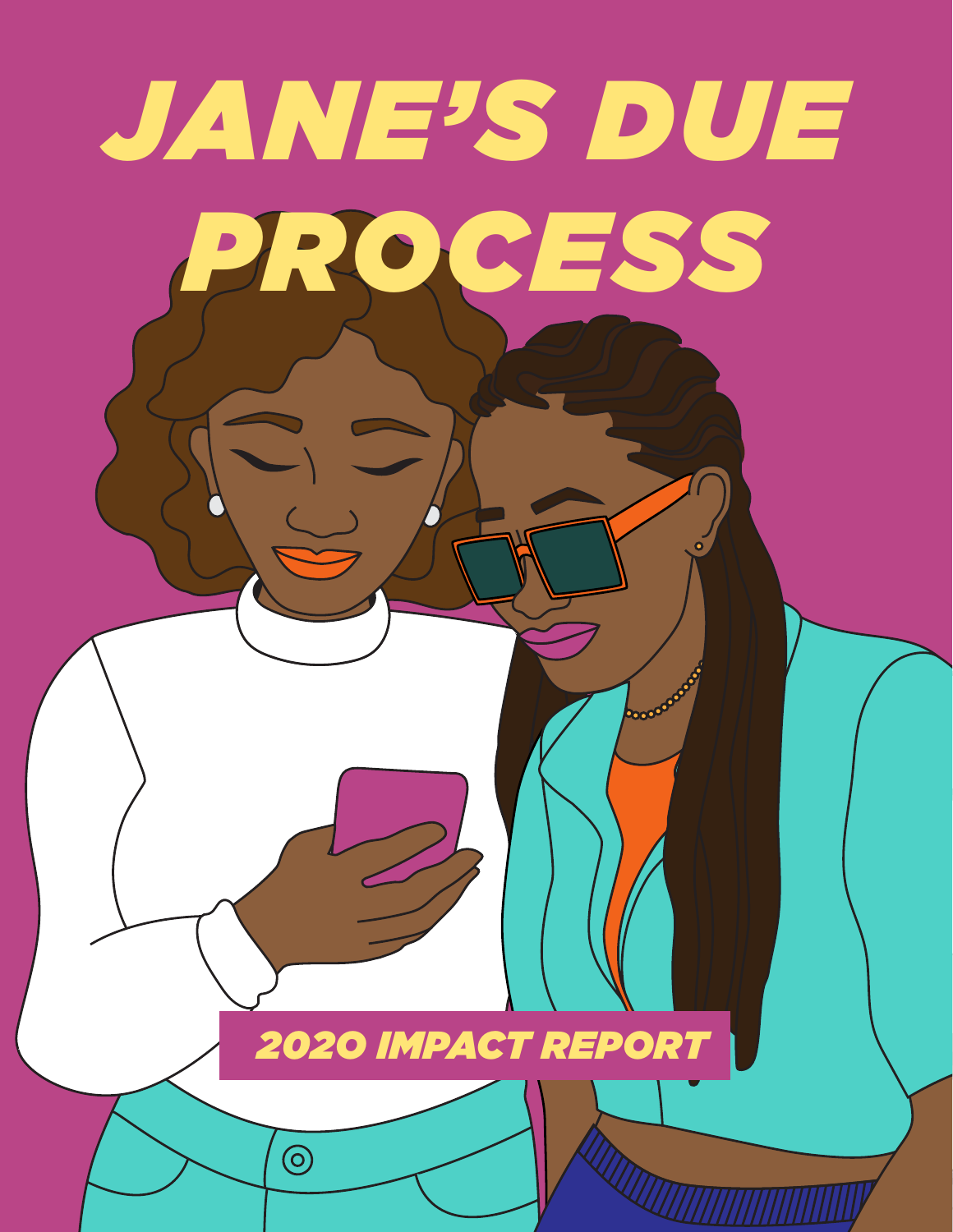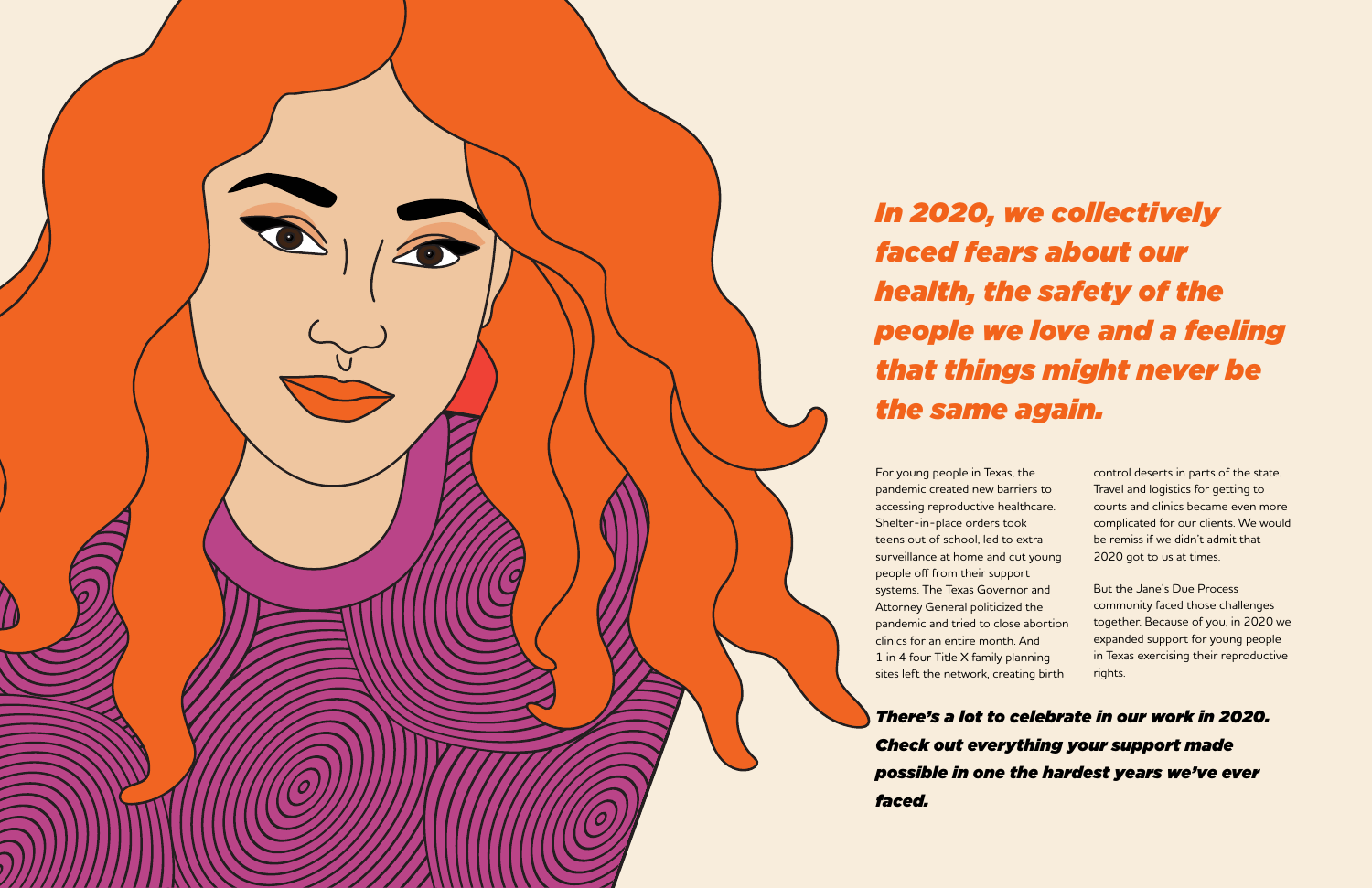*There's a lot to celebrate in our work in 2020. Check out everything your support made possible in one the hardest years we've ever faced.* 



## *In 2020, we collectively faced fears about our health, the safety of the people we love and a feeling that things might never be the same again.*

For young people in Texas, the pandemic created new barriers to accessing reproductive healthcare. Shelter-in-place orders took teens out of school, led to extra surveillance at home and cut young people off from their support systems. The Texas Governor and Attorney General politicized the pandemic and tried to close abortion clinics for an entire month. And 1 in 4 four Title X family planning sites left the network, creating birth

control deserts in parts of the state. Travel and logistics for getting to courts and clinics became even more complicated for our clients. We would be remiss if we didn't admit that 2020 got to us at times.

But the Jane's Due Process community faced those challenges together. Because of you, in 2020 we expanded support for young people in Texas exercising their reproductive rights.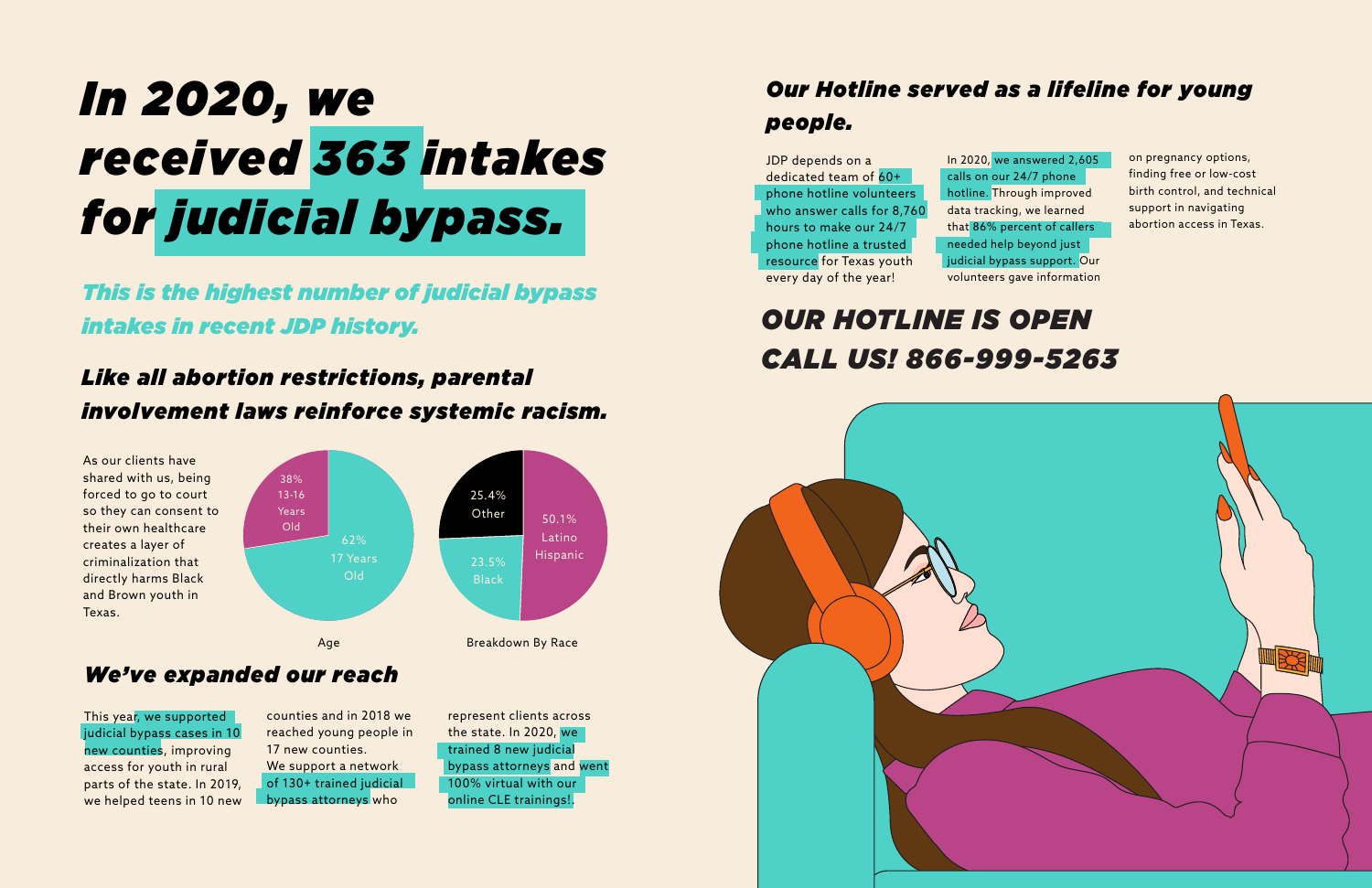# *In 2020, we received 363 intakes for judicial bypass.*

*This is the highest number of judicial bypass intakes in recent JDP history.* 

## *Like all abortion restrictions, parental involvement laws reinforce systemic racism.*

As our clients have shared with us, being forced to go to court so they can consent to their own healthcare creates a layer of criminalization that directly harms Black and Brown youth in Texas.

> counties and in 2018 we reached young people in 17 new counties. We support a network of 130+ trained judicial bypass attorneys who

### *We've expanded our reach*

This year, we supported judicial bypass cases in 10 new counties, improving access for youth in rural parts of the state. In 2019, we helped teens in 10 new

represent clients across the state. In 2020, we trained 8 new judicial bypass attorneys and went 100% virtual with our online CLE trainings!.

## *Our Hotline served as a lifeline for young people.*

## *OUR HOTLINE IS OPEN CALL US! 866-999-5263*







JDP depends on a dedicated team of 60+ phone hotline volunteers who answer calls for 8,760 hours to make our 24/7 phone hotline a trusted resource for Texas youth every day of the year!

In 2020, we answered 2,605 calls on our 24/7 phone hotline. Through improved data tracking, we learned that 86% percent of callers needed help beyond just judicial bypass support. Our volunteers gave information

on pregnancy options, finding free or low-cost birth control, and technical support in navigating abortion access in Texas.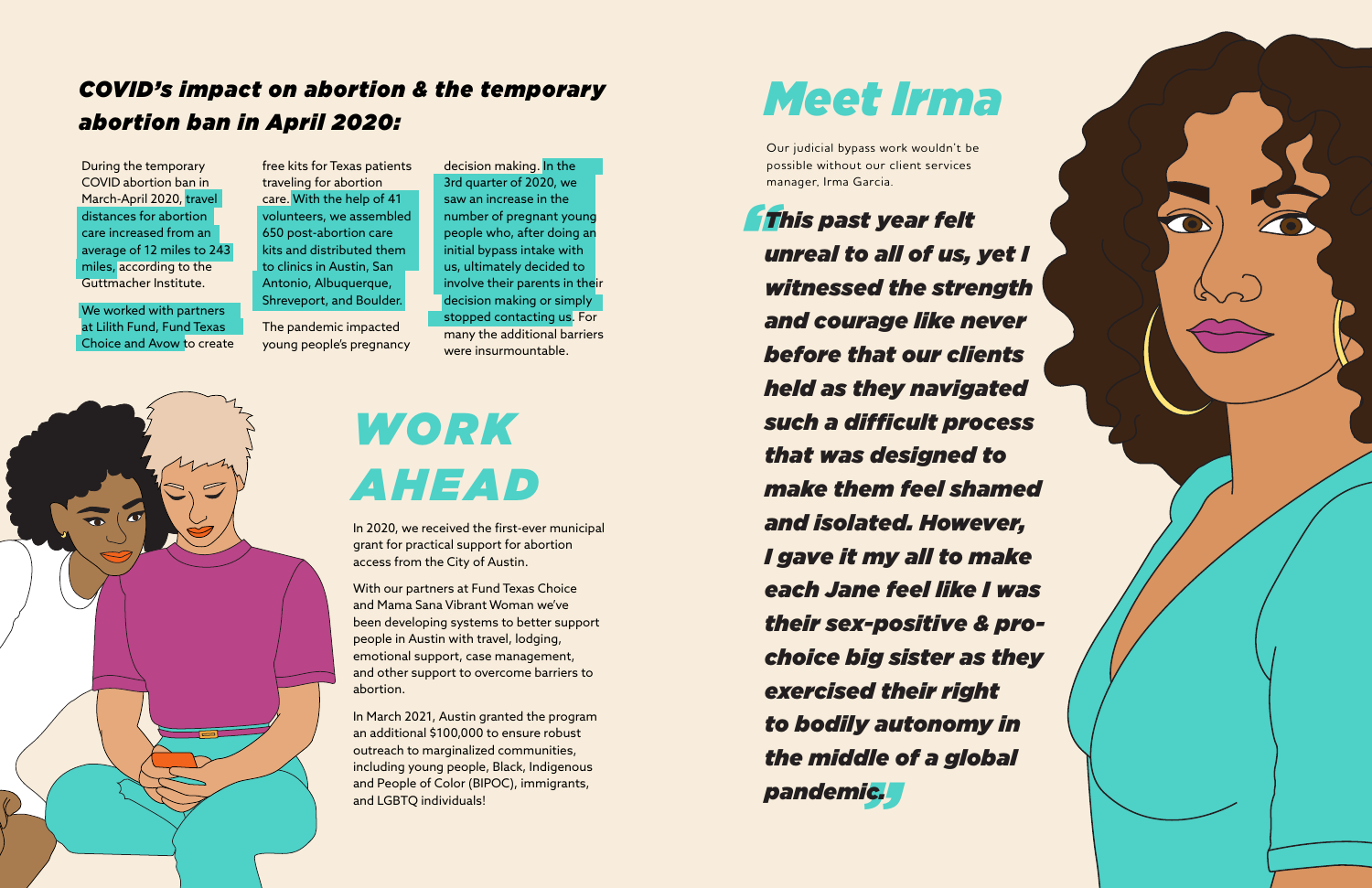## *Meet Irma*

Our judicial bypass work wouldn't be possible without our client services manager, Irma Garcia.

# *WORK AHEAD*

In 2020, we received the first-ever municipal grant for practical support for abortion access from the City of Austin.

With our partners at Fund Texas Choice and Mama Sana Vibrant Woman we've been developing systems to better support people in Austin with travel, lodging, emotional support, case management, and other support to overcome barriers to abortion.

We worked with partners at Lilith Fund, Fund Texas Choice and Avow to create

> In March 2021, Austin granted the program an additional \$100,000 to ensure robust outreach to marginalized communities, including young people, Black, Indigenous and People of Color (BIPOC), immigrants, and LGBTQ individuals!

### *COVID's impact on abortion & the temporary abortion ban in April 2020:*

During the temporary COVID abortion ban in March-April 2020, travel distances for abortion care increased from an average of 12 miles to 243 miles, according to the Guttmacher Institute.

*" " pandemic.This past year felt unreal to all of us, yet I witnessed the strength and courage like never before that our clients held as they navigated such a difficult process that was designed to make them feel shamed and isolated. However, I gave it my all to make each Jane feel like I was their sex-positive & prochoice big sister as they exercised their right to bodily autonomy in the middle of a global* 





free kits for Texas patients traveling for abortion care. With the help of 41 volunteers, we assembled 650 post-abortion care kits and distributed them to clinics in Austin, San Antonio, Albuquerque, Shreveport, and Boulder.

The pandemic impacted young people's pregnancy

decision making. In the 3rd quarter of 2020, we saw an increase in the number of pregnant young people who, after doing an initial bypass intake with us, ultimately decided to involve their parents in their decision making or simply stopped contacting us. For many the additional barriers were insurmountable.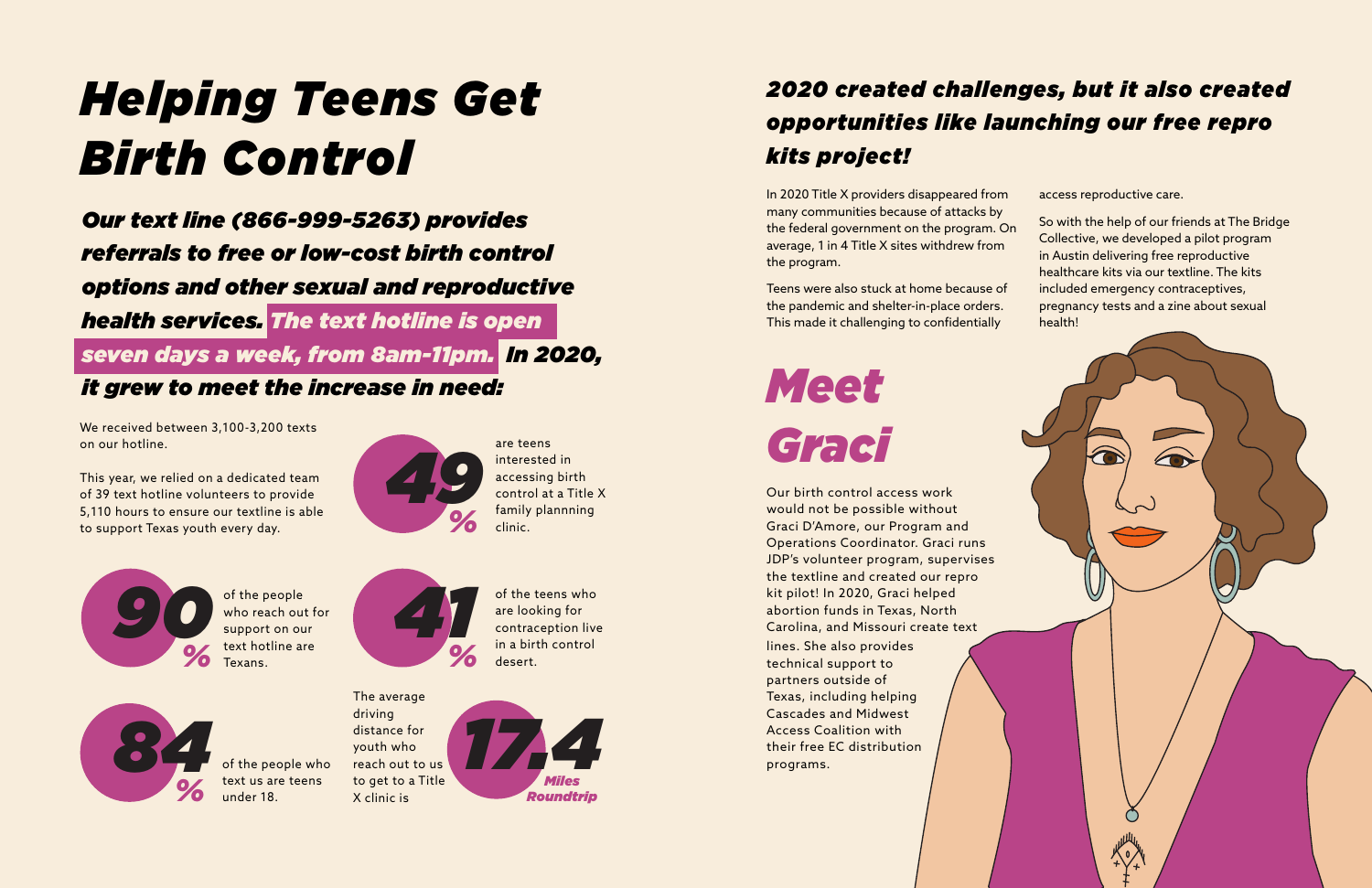# *Helping Teens Get Birth Control*

*Our text line (866-999-5263) provides referrals to free or low-cost birth control options and other sexual and reproductive health services. The text hotline is open seven days a week, from 8am-11pm. In 2020, it grew to meet the increase in need:* 

## *2020 created challenges, but it also created opportunities like launching our free repro kits project!*

We received between 3,100-3,200 texts on our hotline.

This year, we relied on a dedicated team of 39 text hotline volunteers to provide 5,110 hours to ensure our textline is able to support Texas youth every day.

the federal government on the program. On average, 1 in 4 Title X sites withdrew from the program. Teens were also stuck at home because of the pandemic and shelter-in-place orders. This made it challenging to confidentially

In 2020 Title X providers disappeared from many communities because of attacks by access reproductive care. So with the help of our friends at The Bridge Collective, we developed a pilot program in Austin delivering free reproductive healthcare kits via our textline. The kits included emergency contraceptives, pregnancy tests and a zine about sexual health!

of the teens who<br>are looking for<br>contraception live<br>in a birth control are looking for contraception live in a birth control desert.

*Meet Graci*



who reach out for support on our text hotline are Texans.



text us are teens under 18.

Our birth control access work would not be possible without Graci D'Amore, our Program and Operations Coordinator. Graci runs JDP's volunteer program, supervises the textline and created our repro kit pilot! In 2020, Graci helped abortion funds in Texas, North Carolina, and Missouri create text lines. She also provides technical support to partners outside of Texas, including helping Cascades and Midwest Access Coalition with their free EC distribution programs.



are teens interested in accessing birth control at a Title X family plannning clinic.



The average



driving distance for youth who

X clinic is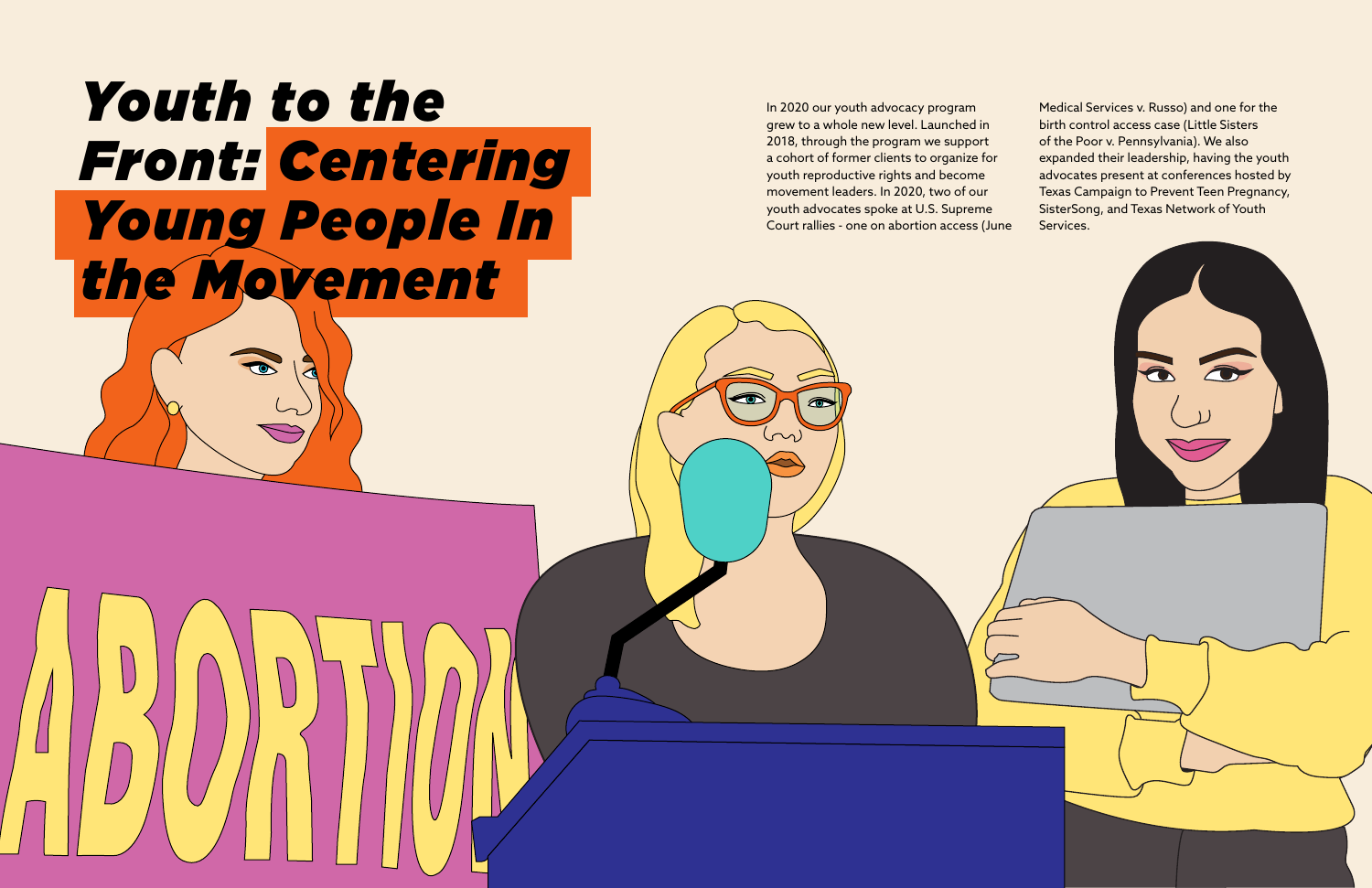In 2020 our youth advocacy program grew to a whole new level. Launched in 2018, through the program we support a cohort of former clients to organize for youth reproductive rights and become movement leaders. In 2020, two of our youth advocates spoke at U.S. Supreme Court rallies - one on abortion access (June

# *Youth to the Front: Centering Young People In the Movement*

Medical Services v. Russo) and one for the birth control access case (Little Sisters of the Poor v. Pennsylvania). We also expanded their leadership, having the youth advocates present at conferences hosted by Texas Campaign to Prevent Teen Pregnancy, SisterSong, and Texas Network of Youth Services.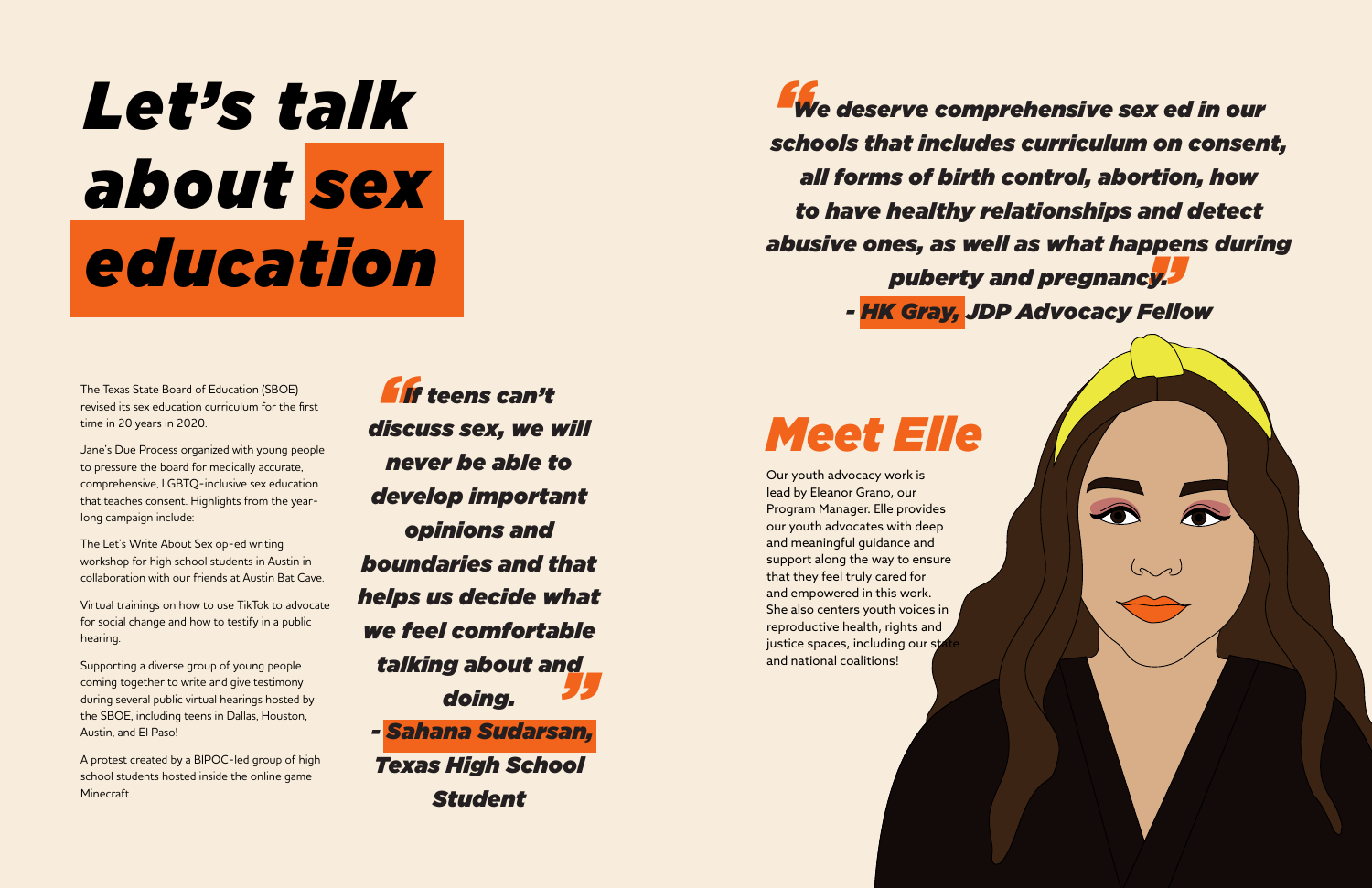# *Let's talk about sex education*

The Texas State Board of Education (SBOE) revised its sex education curriculum for the first time in 20 years in 2020.

Jane's Due Process organized with young people to pressure the board for medically accurate, comprehensive, LGBTQ-inclusive sex education that teaches consent. Highlights from the yearlong campaign include:

The Let's Write About Sex op-ed writing workshop for high school students in Austin in collaboration with our friends at Austin Bat Cave.

Virtual trainings on how to use TikTok to advocate for social change and how to testify in a public hearing.

Supporting a diverse group of young people coming together to write and give testimony during several public virtual hearings hosted by the SBOE, including teens in Dallas, Houston, Austin, and El Paso!

*<u>f</u>*<br>*lise " If teens can't discuss sex, we will never be able to develop important opinions and boundaries and that helps us decide what we feel comfortable talking about and doing. - Sahana Sudarsan, Texas High School Student*

A protest created by a BIPOC-led group of high school students hosted inside the online game Minecraft.

Our youth advocacy work is lead by Eleanor Grano, our Program Manager. Elle provides our youth advocates with deep and meaningful guidance and support along the way to ensure that they feel truly cared for and empowered in this work. She also centers youth voices in reproductive health, rights and justice spaces, including our sta and national coalitions!

*"* "<br>"<br>"<sup>2</sup>" *We deserve comprehensive sex ed in our schools that includes curriculum on consent, all forms of birth control, abortion, how to have healthy relationships and detect abusive ones, as well as what happens during puberty and pregnancy. - HK Gray, JDP Advocacy Fellow*

## *Meet Elle*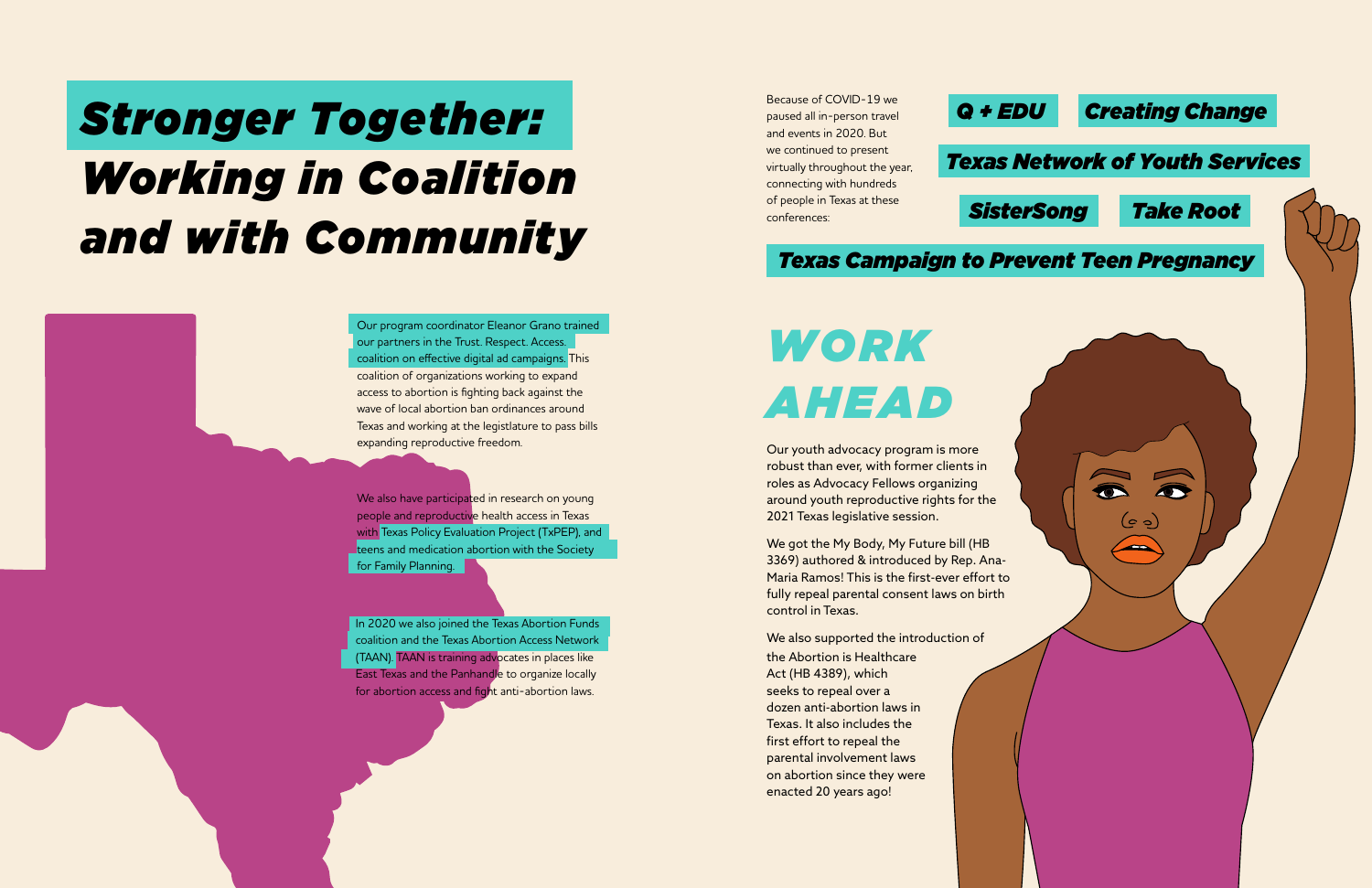Our program coordinator Eleanor Grano trained our partners in the Trust. Respect. Access. coalition on effective digital ad campaigns. This coalition of organizations working to expand access to abortion is fighting back against the wave of local abortion ban ordinances around Texas and working at the legistlature to pass bills expanding reproductive freedom.

We also have participated in research on young people and reproductive health access in Texas with Texas Policy Evaluation Project (TxPEP), and teens and medication abortion with the Society for Family Planning.

In 2020 we also joined the Texas Abortion Funds coalition and the Texas Abortion Access Network (TAAN). TAAN is training advocates in places like East Texas and the Panhandle to organize locally for abortion access and fight anti-abortion laws.

# *Stronger Together: Working in Coalition and with Community*

# *WORK AHEAD*

Our youth advocacy program is more robust than ever, with former clients in roles as Advocacy Fellows organizing around youth reproductive rights for the 2021 Texas legislative session.

We got the My Body, My Future bill (HB 3369) authored & introduced by Rep. Ana-Maria Ramos! This is the first-ever effort to fully repeal parental consent laws on birth control in Texas.

We also supported the introduction of

Because of COVID-19 we paused all in-person travel and events in 2020. But we continued to present virtually throughout the year, connecting with hundreds of people in Texas at these conferences:



the Abortion is Healthcare Act (HB 4389), which seeks to repeal over a dozen anti-abortion laws in Texas. It also includes the first effort to repeal the parental involvement laws on abortion since they were enacted 20 years ago!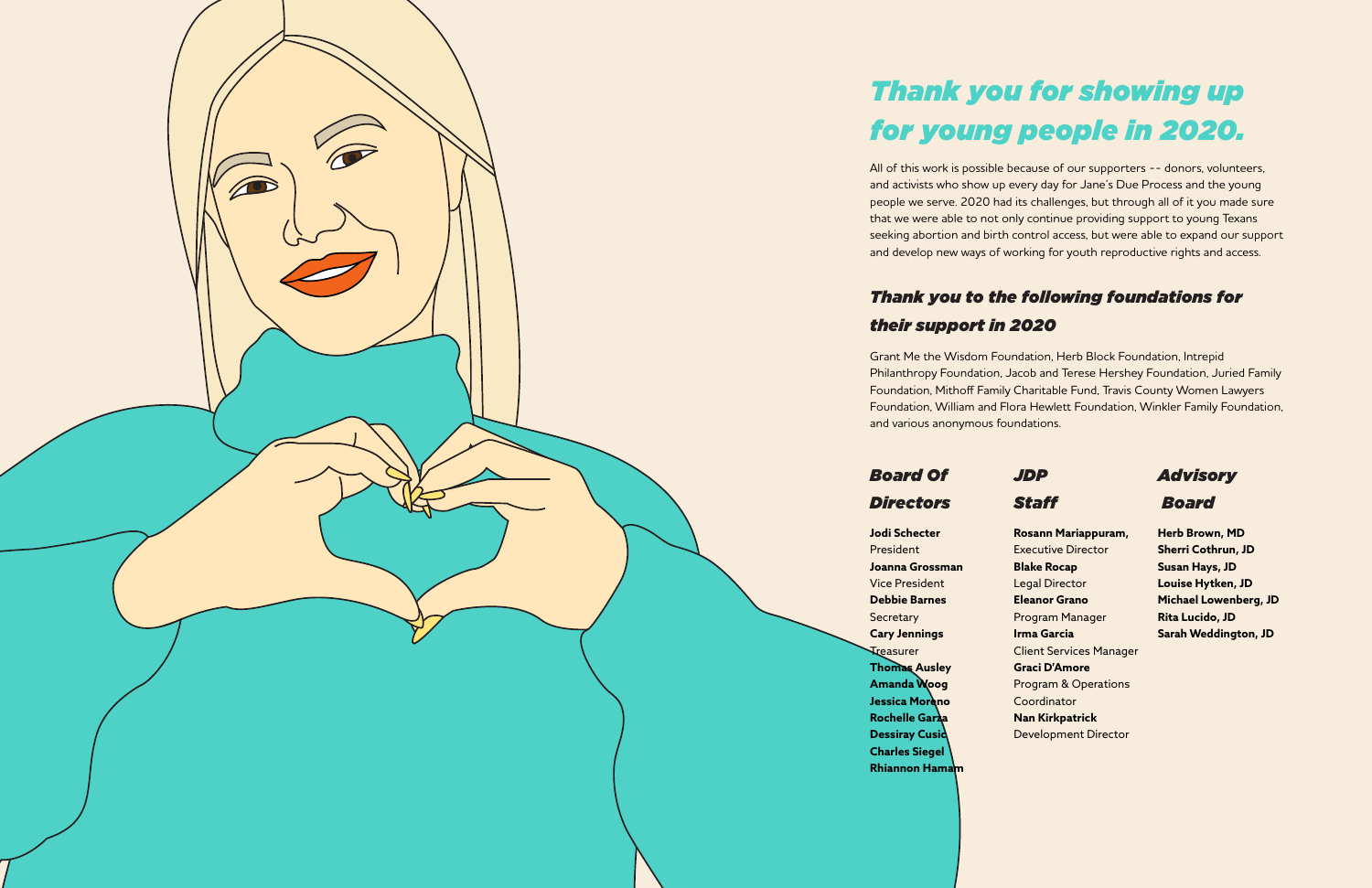

## *Thank you for showing up for young people in 2020.*

All of this work is possible because of our supporters -- donors, volunteers, and activists who show up every day for Jane's Due Process and the young people we serve. 2020 had its challenges, but through all of it you made sure that we were able to not only continue providing support to young Texans seeking abortion and birth control access, but were able to expand our support and develop new ways of working for youth reproductive rights and access.

### *Thank you to the following foundations for their support in 2020*

Grant Me the Wisdom Foundation, Herb Block Foundation, Intrepid Philanthropy Foundation, Jacob and Terese Hershey Foundation, Juried Family Foundation, Mithoff Family Charitable Fund, Travis County Women Lawyers Foundation, William and Flora Hewlett Foundation, Winkler Family Foundation, and various anonymous foundations.

### *Board Of Directors*

### *JDP*

### *Staff*

*Advisory*

 *Board*

**Jodi Schecter** President **Joanna Grossman** Vice President **Debbie Barnes Secretary Cary Jennings Treasurer Thomas Ausley Amanda Woog Jessica Moreno Rochelle Garza Dessiray Cusid Charles Siegel Rhiannon Hamam**

**Rosann Mariappuram,**  Executive Director **Blake Rocap**  Legal Director **Eleanor Grano**  Program Manager **Irma Garcia** Client Services Manager **Graci D'Amore** Program & Operations Coordinator **Nan Kirkpatrick**  Development Director

**Herb Brown, MD Sherri Cothrun, JD Susan Hays, JD Louise Hytken, JD Michael Lowenberg, JD Rita Lucido, JD Sarah Weddington, JD**